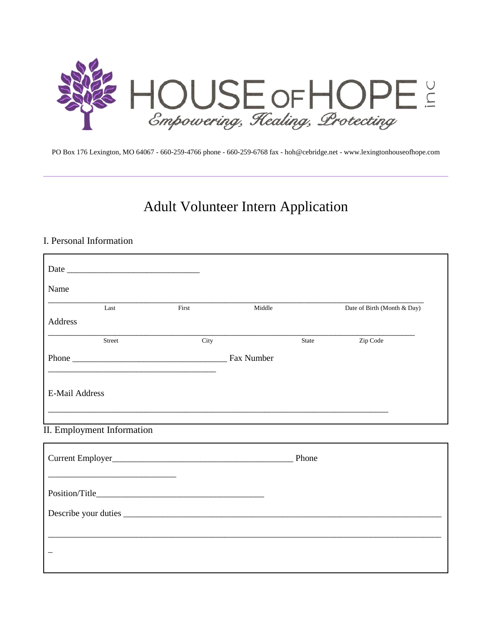

PO Box 176 Lexington, MO 64067 - 660-259-4766 phone - 660-259-6768 fax - hoh@cebridge.net - www.lexingtonhouseofhope.com

# Adult Volunteer Intern Application

#### I. Personal Information

 $\overline{\Gamma}$ 

| Name                                                                                                                  |       |        |       |                             |
|-----------------------------------------------------------------------------------------------------------------------|-------|--------|-------|-----------------------------|
| Last                                                                                                                  | First | Middle |       | Date of Birth (Month & Day) |
| Address                                                                                                               |       |        |       |                             |
| Street                                                                                                                | City  |        | State | Zip Code                    |
|                                                                                                                       |       |        |       |                             |
|                                                                                                                       |       |        |       |                             |
| <b>E-Mail Address</b>                                                                                                 |       |        |       |                             |
| <u> 1989 - Johann Harry Harry Harry Harry Harry Harry Harry Harry Harry Harry Harry Harry Harry Harry Harry Harry</u> |       |        |       |                             |
|                                                                                                                       |       |        |       |                             |
| II. Employment Information                                                                                            |       |        |       |                             |
|                                                                                                                       |       |        |       |                             |
|                                                                                                                       |       |        |       |                             |
|                                                                                                                       |       |        |       |                             |
|                                                                                                                       |       |        |       |                             |
|                                                                                                                       |       |        |       |                             |
|                                                                                                                       |       |        |       |                             |
|                                                                                                                       |       |        |       |                             |
|                                                                                                                       |       |        |       |                             |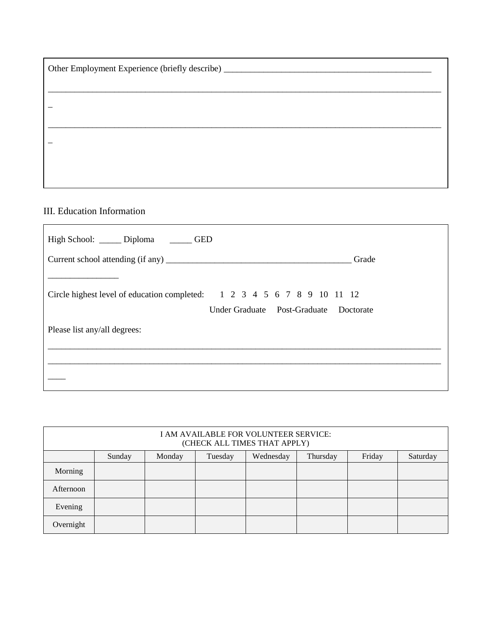| Other Employment Experience (briefly describe) _________________________________ |  |  |  |  |  |
|----------------------------------------------------------------------------------|--|--|--|--|--|
|                                                                                  |  |  |  |  |  |
|                                                                                  |  |  |  |  |  |
|                                                                                  |  |  |  |  |  |
|                                                                                  |  |  |  |  |  |
|                                                                                  |  |  |  |  |  |
|                                                                                  |  |  |  |  |  |

### III. Education Information

| High School: ______ Diploma _______ GED                                 |                                        |
|-------------------------------------------------------------------------|----------------------------------------|
|                                                                         | Grade                                  |
|                                                                         |                                        |
| Circle highest level of education completed: 1 2 3 4 5 6 7 8 9 10 11 12 |                                        |
|                                                                         | Under Graduate Post-Graduate Doctorate |
| Please list any/all degrees:                                            |                                        |
|                                                                         |                                        |
|                                                                         |                                        |
|                                                                         |                                        |

| I AM AVAILABLE FOR VOLUNTEER SERVICE:<br>(CHECK ALL TIMES THAT APPLY) |        |        |         |           |          |        |          |
|-----------------------------------------------------------------------|--------|--------|---------|-----------|----------|--------|----------|
|                                                                       | Sunday | Monday | Tuesday | Wednesday | Thursday | Friday | Saturday |
| Morning                                                               |        |        |         |           |          |        |          |
| Afternoon                                                             |        |        |         |           |          |        |          |
| Evening                                                               |        |        |         |           |          |        |          |
| Overnight                                                             |        |        |         |           |          |        |          |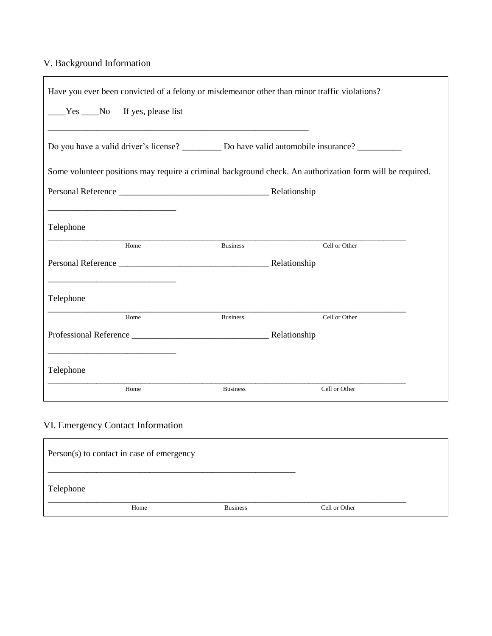## V. Background Information

|                                                                                                                       | Have you ever been convicted of a felony or misdemeanor other than minor traffic violations?        |                 |                                                                                                           |
|-----------------------------------------------------------------------------------------------------------------------|-----------------------------------------------------------------------------------------------------|-----------------|-----------------------------------------------------------------------------------------------------------|
| $Yes$ No If yes, please list                                                                                          |                                                                                                     |                 |                                                                                                           |
|                                                                                                                       | Do you have a valid driver's license? ____________ Do have valid automobile insurance? ____________ |                 |                                                                                                           |
|                                                                                                                       |                                                                                                     |                 | Some volunteer positions may require a criminal background check. An authorization form will be required. |
| <u> 1980 - Johann Barn, amerikan besteman besteman besteman besteman besteman besteman besteman besteman besteman</u> |                                                                                                     |                 |                                                                                                           |
| Telephone                                                                                                             |                                                                                                     |                 |                                                                                                           |
|                                                                                                                       | Home                                                                                                | <b>Business</b> | Cell or Other                                                                                             |
|                                                                                                                       |                                                                                                     |                 |                                                                                                           |
| Telephone                                                                                                             |                                                                                                     |                 |                                                                                                           |
|                                                                                                                       | Home                                                                                                | <b>Business</b> | Cell or Other                                                                                             |
|                                                                                                                       |                                                                                                     |                 |                                                                                                           |
| Telephone                                                                                                             |                                                                                                     |                 |                                                                                                           |
|                                                                                                                       | Home                                                                                                | <b>Business</b> | Cell or Other                                                                                             |

## VI. Emergency Contact Information

| Person(s) to contact in case of emergency |                 |               |  |  |  |
|-------------------------------------------|-----------------|---------------|--|--|--|
| Telephone                                 |                 |               |  |  |  |
| Home                                      | <b>Business</b> | Cell or Other |  |  |  |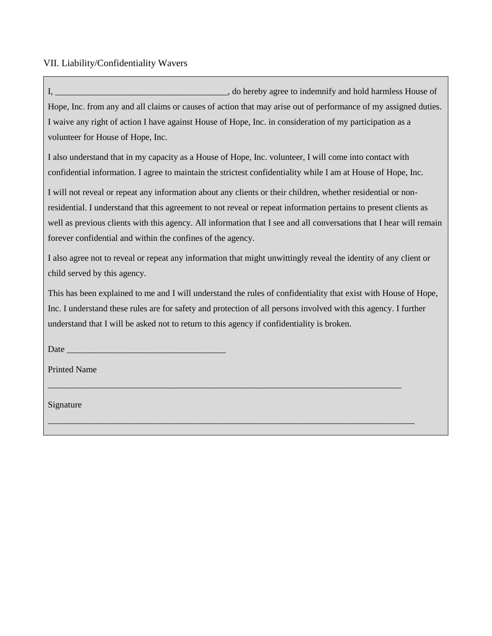VII. Liability/Confidentiality Wavers

I, \_\_\_\_\_\_\_\_\_\_\_\_\_\_\_\_\_\_\_\_\_\_\_\_\_\_\_\_\_\_\_\_\_\_\_\_\_\_\_, do hereby agree to indemnify and hold harmless House of Hope, Inc. from any and all claims or causes of action that may arise out of performance of my assigned duties. I waive any right of action I have against House of Hope, Inc. in consideration of my participation as a volunteer for House of Hope, Inc.

I also understand that in my capacity as a House of Hope, Inc. volunteer, I will come into contact with confidential information. I agree to maintain the strictest confidentiality while I am at House of Hope, Inc.

I will not reveal or repeat any information about any clients or their children, whether residential or nonresidential. I understand that this agreement to not reveal or repeat information pertains to present clients as well as previous clients with this agency. All information that I see and all conversations that I hear will remain forever confidential and within the confines of the agency.

I also agree not to reveal or repeat any information that might unwittingly reveal the identity of any client or child served by this agency.

This has been explained to me and I will understand the rules of confidentiality that exist with House of Hope, Inc. I understand these rules are for safety and protection of all persons involved with this agency. I further understand that I will be asked not to return to this agency if confidentiality is broken.

\_\_\_\_\_\_\_\_\_\_\_\_\_\_\_\_\_\_\_\_\_\_\_\_\_\_\_\_\_\_\_\_\_\_\_\_\_\_\_\_\_\_\_\_\_\_\_\_\_\_\_\_\_\_\_\_\_\_\_\_\_\_\_\_\_\_\_\_\_\_\_\_\_\_\_\_\_\_\_\_

\_\_\_\_\_\_\_\_\_\_\_\_\_\_\_\_\_\_\_\_\_\_\_\_\_\_\_\_\_\_\_\_\_\_\_\_\_\_\_\_\_\_\_\_\_\_\_\_\_\_\_\_\_\_\_\_\_\_\_\_\_\_\_\_\_\_\_\_\_\_\_\_\_\_\_\_\_\_\_\_\_\_\_

Date

Printed Name

Signature